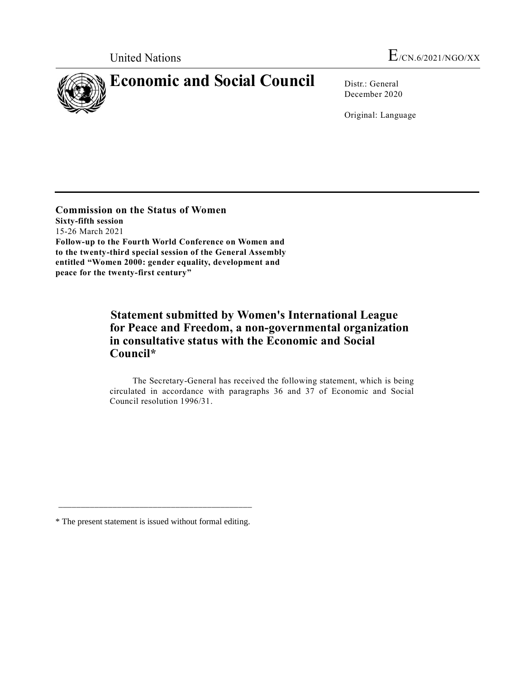

December 2020

Original: Language

**Commission on the Status of Women Sixty-fifth session** 15-26 March 2021 **Follow-up to the Fourth World Conference on Women and to the twenty-third special session of the General Assembly entitled "Women 2000: gender equality, development and peace for the twenty-first century"**

## **Statement submitted by Women's International League for Peace and Freedom, a non-governmental organization in consultative status with the Economic and Social Council\***

The Secretary-General has received the following statement, which is being circulated in accordance with paragraphs 36 and 37 of Economic and Social Council resolution 1996/31.

\_\_\_\_\_\_\_\_\_\_\_\_\_\_\_\_\_\_\_\_\_\_\_\_\_\_\_\_\_\_\_\_\_\_\_\_\_\_\_\_\_\_\_

<sup>\*</sup> The present statement is issued without formal editing.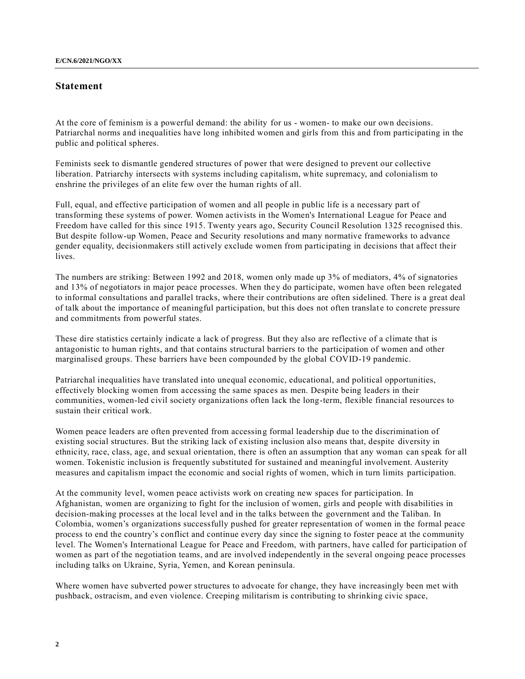## **Statement**

At the core of feminism is a powerful demand: the ability for us - women- to make our own decisions. Patriarchal norms and inequalities have long inhibited women and girls from this and from participating in the public and political spheres.

Feminists seek to dismantle gendered structures of power that were designed to prevent our collective liberation. Patriarchy intersects with systems including capitalism, white supremacy, and colonialism to enshrine the privileges of an elite few over the human rights of all.

Full, equal, and effective participation of women and all people in public life is a necessary part of transforming these systems of power. Women activists in the Women's International League for Peace and Freedom have called for this since 1915. Twenty years ago, Security Council Resolution 1325 recognised this. But despite follow-up Women, Peace and Security resolutions and many normative frameworks to advance gender equality, decisionmakers still actively exclude women from participating in decisions that affect their lives.

The numbers are striking: Between 1992 and 2018, women only made up 3% of mediators, 4% of signatories and 13% of negotiators in major peace processes. When they do participate, women have often been relegated to informal consultations and parallel tracks, where their contributions are often sidelined. There is a great deal of talk about the importance of meaningful participation, but this does not often translate to concrete pressure and commitments from powerful states.

These dire statistics certainly indicate a lack of progress. But they also are reflective of a climate that is antagonistic to human rights, and that contains structural barriers to the participation of women and other marginalised groups. These barriers have been compounded by the global COVID-19 pandemic.

Patriarchal inequalities have translated into unequal economic, educational, and political opportunities, effectively blocking women from accessing the same spaces as men. Despite being leaders in their communities, women-led civil society organizations often lack the long-term, flexible financial resources to sustain their critical work.

Women peace leaders are often prevented from accessing formal leadership due to the discrimination of existing social structures. But the striking lack of existing inclusion also means that, despite diversity in ethnicity, race, class, age, and sexual orientation, there is often an assumption that any woman can speak for all women. Tokenistic inclusion is frequently substituted for sustained and meaningful involvement. Austerity measures and capitalism impact the economic and social rights of women, which in turn limits participation.

At the community level, women peace activists work on creating new spaces for participation. In Afghanistan, women are organizing to fight for the inclusion of women, girls and people with disabilities in decision-making processes at the local level and in the talks between the government and the Taliban. In Colombia, women's organizations successfully pushed for greater representation of women in the formal peace process to end the country's conflict and continue every day since the signing to foster peace at the community level. The Women's International League for Peace and Freedom, with partners, have called for participation of women as part of the negotiation teams, and are involved independently in the several ongoing peace processes including talks on Ukraine, Syria, Yemen, and Korean peninsula.

Where women have subverted power structures to advocate for change, they have increasingly been met with pushback, ostracism, and even violence. Creeping militarism is contributing to shrinking civic space,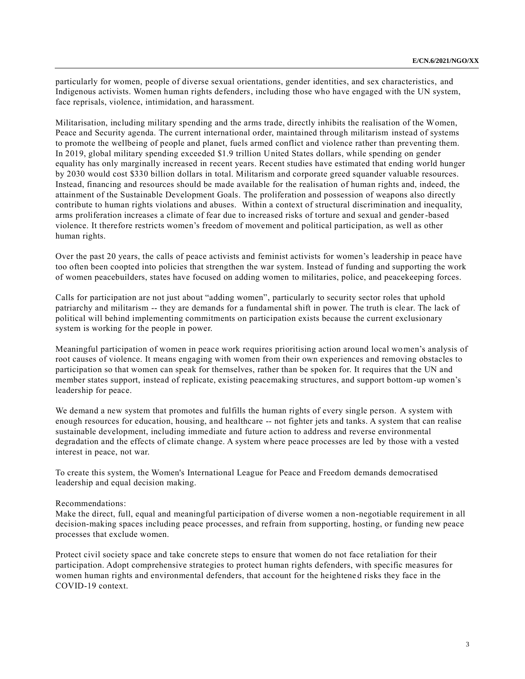particularly for women, people of diverse sexual orientations, gender identities, and sex characteristics, and Indigenous activists. Women human rights defenders, including those who have engaged with the UN system, face reprisals, violence, intimidation, and harassment.

Militarisation, including military spending and the arms trade, directly inhibits the realisation of the Women, Peace and Security agenda. The current international order, maintained through militarism instead of systems to promote the wellbeing of people and planet, fuels armed conflict and violence rather than preventing them. In 2019, global military spending exceeded \$1.9 trillion United States dollars, while spending on gender equality has only marginally increased in recent years. Recent studies have estimated that ending world hunger by 2030 would cost \$330 billion dollars in total. Militarism and corporate greed squander valuable resources. Instead, financing and resources should be made available for the realisation of human rights and, indeed, the attainment of the Sustainable Development Goals. The proliferation and possession of weapons also directly contribute to human rights violations and abuses. Within a context of structural discrimination and inequality, arms proliferation increases a climate of fear due to increased risks of torture and sexual and gender-based violence. It therefore restricts women's freedom of movement and political participation, as well as other human rights.

Over the past 20 years, the calls of peace activists and feminist activists for women's leadership in peace have too often been coopted into policies that strengthen the war system. Instead of funding and supporting the work of women peacebuilders, states have focused on adding women to militaries, police, and peacekeeping forces.

Calls for participation are not just about "adding women", particularly to security sector roles that uphold patriarchy and militarism -- they are demands for a fundamental shift in power. The truth is clear. The lack of political will behind implementing commitments on participation exists because the current exclusionary system is working for the people in power.

Meaningful participation of women in peace work requires prioritising action around local women's analysis of root causes of violence. It means engaging with women from their own experiences and removing obstacles to participation so that women can speak for themselves, rather than be spoken for. It requires that the UN and member states support, instead of replicate, existing peacemaking structures, and support bottom-up women's leadership for peace.

We demand a new system that promotes and fulfills the human rights of every single person. A system with enough resources for education, housing, and healthcare -- not fighter jets and tanks. A system that can realise sustainable development, including immediate and future action to address and reverse environmental degradation and the effects of climate change. A system where peace processes are led by those with a vested interest in peace, not war.

To create this system, the Women's International League for Peace and Freedom demands democratised leadership and equal decision making.

## Recommendations:

Make the direct, full, equal and meaningful participation of diverse women a non-negotiable requirement in all decision-making spaces including peace processes, and refrain from supporting, hosting, or funding new peace processes that exclude women.

Protect civil society space and take concrete steps to ensure that women do not face retaliation for their participation. Adopt comprehensive strategies to protect human rights defenders, with specific measures for women human rights and environmental defenders, that account for the heightene d risks they face in the COVID-19 context.